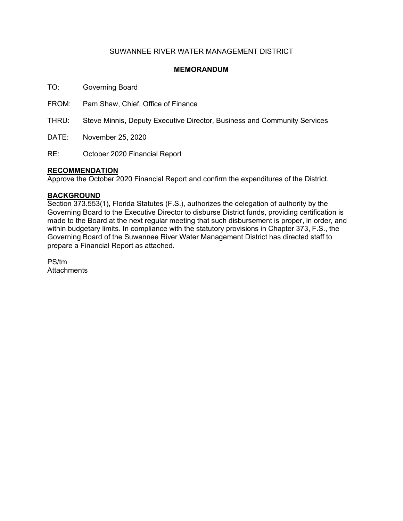## SUWANNEE RIVER WATER MANAGEMENT DISTRICT

### **MEMORANDUM**

TO: Governing Board

FROM: Pam Shaw, Chief, Office of Finance

THRU: Steve Minnis, Deputy Executive Director, Business and Community Services

DATE: November 25, 2020

RE: October 2020 Financial Report

### **RECOMMENDATION**

Approve the October 2020 Financial Report and confirm the expenditures of the District.

#### **BACKGROUND**

Section 373.553(1), Florida Statutes (F.S.), authorizes the delegation of authority by the Governing Board to the Executive Director to disburse District funds, providing certification is made to the Board at the next regular meeting that such disbursement is proper, in order, and within budgetary limits. In compliance with the statutory provisions in Chapter 373, F.S., the Governing Board of the Suwannee River Water Management District has directed staff to prepare a Financial Report as attached.

PS/tm **Attachments**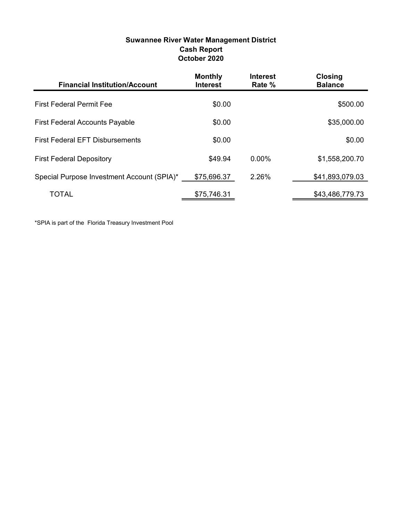| Suwannee River Water Management District |
|------------------------------------------|
| <b>Cash Report</b>                       |
| October 2020                             |

| <b>Financial Institution/Account</b>       | <b>Monthly</b><br><b>Interest</b> | <b>Interest</b><br>Rate % | <b>Closing</b><br><b>Balance</b> |
|--------------------------------------------|-----------------------------------|---------------------------|----------------------------------|
| <b>First Federal Permit Fee</b>            | \$0.00                            |                           | \$500.00                         |
| <b>First Federal Accounts Payable</b>      | \$0.00                            |                           | \$35,000.00                      |
| <b>First Federal EFT Disbursements</b>     | \$0.00                            |                           | \$0.00                           |
| <b>First Federal Depository</b>            | \$49.94                           | $0.00\%$                  | \$1,558,200.70                   |
| Special Purpose Investment Account (SPIA)* | \$75,696.37                       | 2.26%                     | \$41,893,079.03                  |
| TOTAL                                      | \$75,746.31                       |                           | \$43,486,779.73                  |

\*SPIA is part of the Florida Treasury Investment Pool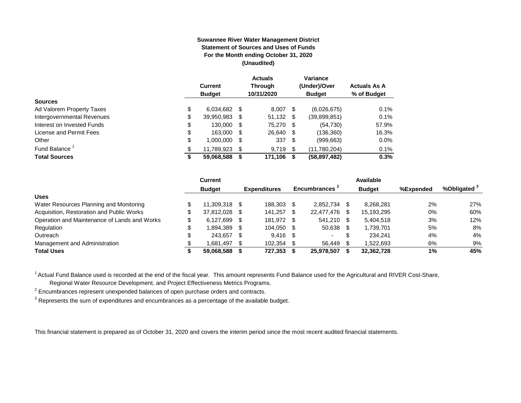#### **Suwannee River Water Management District Statement of Sources and Uses of Funds For the Month ending October 31, 2020 (Unaudited)**

|                            |        | Current<br><b>Budget</b> |      | <b>Actuals</b><br><b>Through</b><br>10/31/2020 |      | Variance<br>(Under)/Over<br><b>Budget</b> | <b>Actuals As A</b><br>% of Budget |
|----------------------------|--------|--------------------------|------|------------------------------------------------|------|-------------------------------------------|------------------------------------|
| <b>Sources</b>             |        |                          |      |                                                |      |                                           |                                    |
| Ad Valorem Property Taxes  | \$     | 6,034,682                | S    | 8.007                                          | - \$ | (6,026,675)                               | 0.1%                               |
| Intergovernmental Revenues | \$     | 39,950,983               | S    | $51,132$ \$                                    |      | (39,899,851)                              | 0.1%                               |
| Interest on Invested Funds | \$     | 130.000                  | - \$ | 75.270                                         | - \$ | (54, 730)                                 | 57.9%                              |
| License and Permit Fees    | \$     | 163,000                  | - \$ | 26,640                                         | - \$ | (136, 360)                                | 16.3%                              |
| Other                      | \$     | 1.000.000                | S    | 337                                            | -\$  | (999, 663)                                | 0.0%                               |
| Fund Balance <sup>1</sup>  | \$     | 11,789,923               | S    | 9,719                                          | -\$  | (11,780,204)                              | 0.1%                               |
| <b>Total Sources</b>       | œ<br>⊅ | 59,068,588               |      | 171,106                                        | S    | (58, 897, 482)                            | 0.3%                               |

|                                              | Current       |      |                     |                |    | Available     |           |                         |
|----------------------------------------------|---------------|------|---------------------|----------------|----|---------------|-----------|-------------------------|
|                                              | <b>Budget</b> |      | <b>Expenditures</b> | Encumbrances 1 |    | <b>Budget</b> | %Expended | %Obligated <sup>3</sup> |
| <b>Uses</b>                                  |               |      |                     |                |    |               |           |                         |
| Water Resources Planning and Monitoring      | 11.309.318 \$ |      | 188.303             | 2.852.734      |    | 8.268.281     | 2%        | 27%                     |
| Acquisition, Restoration and Public Works    | 37,812,028 \$ |      | 141,257             | 22,477,476     | -S | 15,193,295    | 0%        | 60%                     |
| Operation and Maintenance of Lands and Works | 6.127.699     | - \$ | 181.972 \$          | 541.210 \$     |    | 5,404,518     | 3%        | 12%                     |
| Regulation                                   | 1.894.389     | - \$ | 104.050 \$          | 50,638         |    | 1,739,701     | 5%        | 8%                      |
| Outreach                                     | 243.657       | - \$ | $9.416$ \$          | $\sim$         |    | 234.241       | 4%        | 4%                      |
| Management and Administration                | 1,681,497     | - \$ | 102,354             | 56.449         |    | 1,522,693     | 6%        | 9%                      |
| <b>Total Uses</b>                            | 59,068,588    |      | 727,353             | 25,978,507     |    | 32,362,728    | 1%        | 45%                     |

<sup>1</sup> Actual Fund Balance used is recorded at the end of the fiscal year. This amount represents Fund Balance used for the Agricultural and RIVER Cost-Share,

Regional Water Resource Development, and Project Effectiveness Metrics Programs.

 $2$  Encumbrances represent unexpended balances of open purchase orders and contracts.

 $^3$  Represents the sum of expenditures and encumbrances as a percentage of the available budget.

This financial statement is prepared as of October 31, 2020 and covers the interim period since the most recent audited financial statements.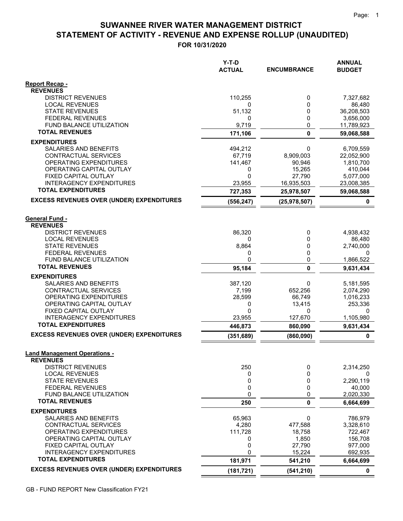# **STATEMENT OF ACTIVITY - REVENUE AND EXPENSE ROLLUP (UNAUDITED) SUWANNEE RIVER WATER MANAGEMENT DISTRICT**

**FOR 10/31/2020**

|                                                                      | $Y-T-D$<br><b>ACTUAL</b> | <b>ENCUMBRANCE</b> | <b>ANNUAL</b><br><b>BUDGET</b> |
|----------------------------------------------------------------------|--------------------------|--------------------|--------------------------------|
| <b>Report Recap -</b>                                                |                          |                    |                                |
| <b>REVENUES</b><br><b>DISTRICT REVENUES</b>                          | 110,255                  | 0                  | 7,327,682                      |
| <b>LOCAL REVENUES</b>                                                | 0                        | 0                  | 86,480                         |
| <b>STATE REVENUES</b>                                                | 51,132                   | 0                  | 36,208,503                     |
| <b>FEDERAL REVENUES</b>                                              | 0                        | 0                  | 3,656,000                      |
| FUND BALANCE UTILIZATION                                             | 9,719                    | 0                  | 11,789,923                     |
| <b>TOTAL REVENUES</b>                                                | 171,106                  | 0                  | 59,068,588                     |
| <b>EXPENDITURES</b>                                                  |                          |                    |                                |
| SALARIES AND BENEFITS                                                | 494,212                  | 0                  | 6,709,559                      |
| CONTRACTUAL SERVICES<br>OPERATING EXPENDITURES                       | 67,719<br>141,467        | 8,909,003          | 22,052,900<br>1,810,700        |
| OPERATING CAPITAL OUTLAY                                             | 0                        | 90,946<br>15,265   | 410,044                        |
| FIXED CAPITAL OUTLAY                                                 | 0                        | 27,790             | 5,077,000                      |
| <b>INTERAGENCY EXPENDITURES</b>                                      | 23,955                   | 16,935,503         | 23,008,385                     |
| <b>TOTAL EXPENDITURES</b>                                            | 727,353                  | 25,978,507         | 59,068,588                     |
| <b>EXCESS REVENUES OVER (UNDER) EXPENDITURES</b>                     | (556, 247)               | (25, 978, 507)     | $\pmb{0}$                      |
| <b>General Fund -</b><br><b>REVENUES</b><br><b>DISTRICT REVENUES</b> | 86,320                   | 0                  | 4,938,432                      |
| <b>LOCAL REVENUES</b>                                                | 0                        | 0                  | 86,480                         |
| <b>STATE REVENUES</b>                                                | 8,864                    | 0                  | 2,740,000                      |
| <b>FEDERAL REVENUES</b>                                              | 0                        | 0                  | 0                              |
| <b>FUND BALANCE UTILIZATION</b><br><b>TOTAL REVENUES</b>             | 0                        | 0<br>0             | 1,866,522                      |
| <b>EXPENDITURES</b>                                                  | 95,184                   |                    | 9,631,434                      |
| <b>SALARIES AND BENEFITS</b>                                         | 387,120                  | 0                  | 5,181,595                      |
| <b>CONTRACTUAL SERVICES</b>                                          | 7,199                    | 652,256            | 2,074,290                      |
| OPERATING EXPENDITURES                                               | 28,599                   | 66,749             | 1,016,233                      |
| OPERATING CAPITAL OUTLAY                                             | 0                        | 13,415             | 253,336                        |
| FIXED CAPITAL OUTLAY                                                 | 0                        | 0                  | 0                              |
| <b>INTERAGENCY EXPENDITURES</b><br><b>TOTAL EXPENDITURES</b>         | 23,955                   | 127,670            | 1,105,980                      |
| <b>EXCESS REVENUES OVER (UNDER) EXPENDITURES</b>                     | 446,873                  | 860,090            | 9,631,434                      |
|                                                                      | (351, 689)               | (860,090)          | $\mathbf 0$                    |
| <b>Land Management Operations -</b><br><b>REVENUES</b>               |                          |                    |                                |
| <b>DISTRICT REVENUES</b>                                             | 250                      | 0                  | 2,314,250                      |
| <b>LOCAL REVENUES</b><br><b>STATE REVENUES</b>                       | 0<br>0                   | 0<br>0             | 0<br>2,290,119                 |
| <b>FEDERAL REVENUES</b>                                              | 0                        | 0                  | 40,000                         |
| FUND BALANCE UTILIZATION                                             | 0                        | 0                  | 2,020,330                      |
| <b>TOTAL REVENUES</b>                                                | 250                      | 0                  | 6,664,699                      |
| <b>EXPENDITURES</b>                                                  |                          |                    |                                |
| SALARIES AND BENEFITS                                                | 65,963                   | 0                  | 786,979                        |
| CONTRACTUAL SERVICES<br>OPERATING EXPENDITURES                       | 4,280<br>111,728         | 477,588<br>18,758  | 3,328,610<br>722,467           |
| OPERATING CAPITAL OUTLAY                                             | 0                        | 1,850              | 156,708                        |
| FIXED CAPITAL OUTLAY                                                 | 0                        | 27,790             | 977,000                        |
| <b>INTERAGENCY EXPENDITURES</b>                                      | 0                        | 15,224             | 692,935                        |
| <b>TOTAL EXPENDITURES</b>                                            | 181,971                  | 541,210            | 6,664,699                      |
| <b>EXCESS REVENUES OVER (UNDER) EXPENDITURES</b>                     | (181, 721)               | (541, 210)         | 0                              |